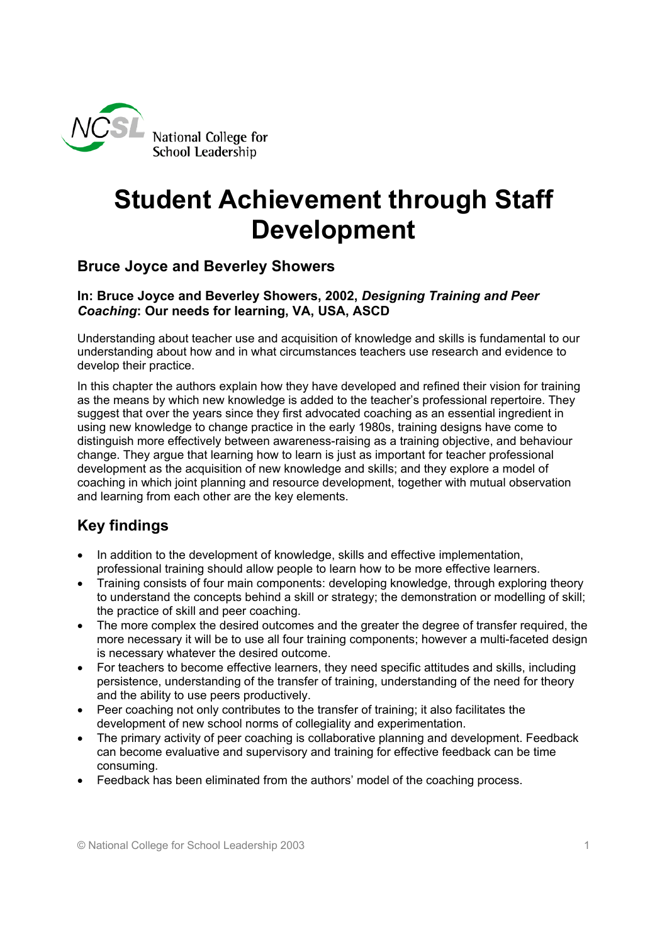

# **Student Achievement through Staff Development**

### **Bruce Joyce and Beverley Showers**

#### **In: Bruce Joyce and Beverley Showers, 2002,** *Designing Training and Peer Coaching***: Our needs for learning, VA, USA, ASCD**

Understanding about teacher use and acquisition of knowledge and skills is fundamental to our understanding about how and in what circumstances teachers use research and evidence to develop their practice.

In this chapter the authors explain how they have developed and refined their vision for training as the means by which new knowledge is added to the teacher's professional repertoire. They suggest that over the years since they first advocated coaching as an essential ingredient in using new knowledge to change practice in the early 1980s, training designs have come to distinguish more effectively between awareness-raising as a training objective, and behaviour change. They argue that learning how to learn is just as important for teacher professional development as the acquisition of new knowledge and skills; and they explore a model of coaching in which joint planning and resource development, together with mutual observation and learning from each other are the key elements.

# **Key findings**

- In addition to the development of knowledge, skills and effective implementation, professional training should allow people to learn how to be more effective learners.
- Training consists of four main components: developing knowledge, through exploring theory to understand the concepts behind a skill or strategy; the demonstration or modelling of skill; the practice of skill and peer coaching.
- The more complex the desired outcomes and the greater the degree of transfer required, the more necessary it will be to use all four training components; however a multi-faceted design is necessary whatever the desired outcome.
- For teachers to become effective learners, they need specific attitudes and skills, including persistence, understanding of the transfer of training, understanding of the need for theory and the ability to use peers productively.
- Peer coaching not only contributes to the transfer of training; it also facilitates the development of new school norms of collegiality and experimentation.
- The primary activity of peer coaching is collaborative planning and development. Feedback can become evaluative and supervisory and training for effective feedback can be time consuming.
- Feedback has been eliminated from the authors' model of the coaching process.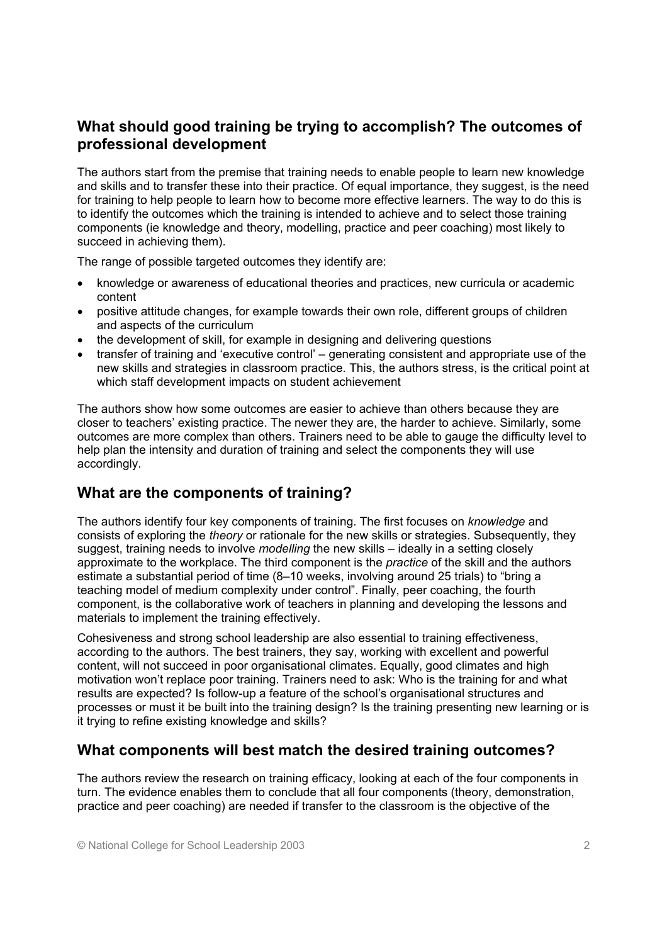### **What should good training be trying to accomplish? The outcomes of professional development**

The authors start from the premise that training needs to enable people to learn new knowledge and skills and to transfer these into their practice. Of equal importance, they suggest, is the need for training to help people to learn how to become more effective learners. The way to do this is to identify the outcomes which the training is intended to achieve and to select those training components (ie knowledge and theory, modelling, practice and peer coaching) most likely to succeed in achieving them).

The range of possible targeted outcomes they identify are:

- knowledge or awareness of educational theories and practices, new curricula or academic content
- positive attitude changes, for example towards their own role, different groups of children and aspects of the curriculum
- the development of skill, for example in designing and delivering questions
- transfer of training and 'executive control' generating consistent and appropriate use of the new skills and strategies in classroom practice. This, the authors stress, is the critical point at which staff development impacts on student achievement

The authors show how some outcomes are easier to achieve than others because they are closer to teachers' existing practice. The newer they are, the harder to achieve. Similarly, some outcomes are more complex than others. Trainers need to be able to gauge the difficulty level to help plan the intensity and duration of training and select the components they will use accordingly.

# **What are the components of training?**

The authors identify four key components of training. The first focuses on *knowledge* and consists of exploring the *theory* or rationale for the new skills or strategies. Subsequently, they suggest, training needs to involve *modelling* the new skills – ideally in a setting closely approximate to the workplace. The third component is the *practice* of the skill and the authors estimate a substantial period of time (8–10 weeks, involving around 25 trials) to "bring a teaching model of medium complexity under control". Finally, peer coaching, the fourth component, is the collaborative work of teachers in planning and developing the lessons and materials to implement the training effectively.

Cohesiveness and strong school leadership are also essential to training effectiveness, according to the authors. The best trainers, they say, working with excellent and powerful content, will not succeed in poor organisational climates. Equally, good climates and high motivation won't replace poor training. Trainers need to ask: Who is the training for and what results are expected? Is follow-up a feature of the school's organisational structures and processes or must it be built into the training design? Is the training presenting new learning or is it trying to refine existing knowledge and skills?

### **What components will best match the desired training outcomes?**

The authors review the research on training efficacy, looking at each of the four components in turn. The evidence enables them to conclude that all four components (theory, demonstration, practice and peer coaching) are needed if transfer to the classroom is the objective of the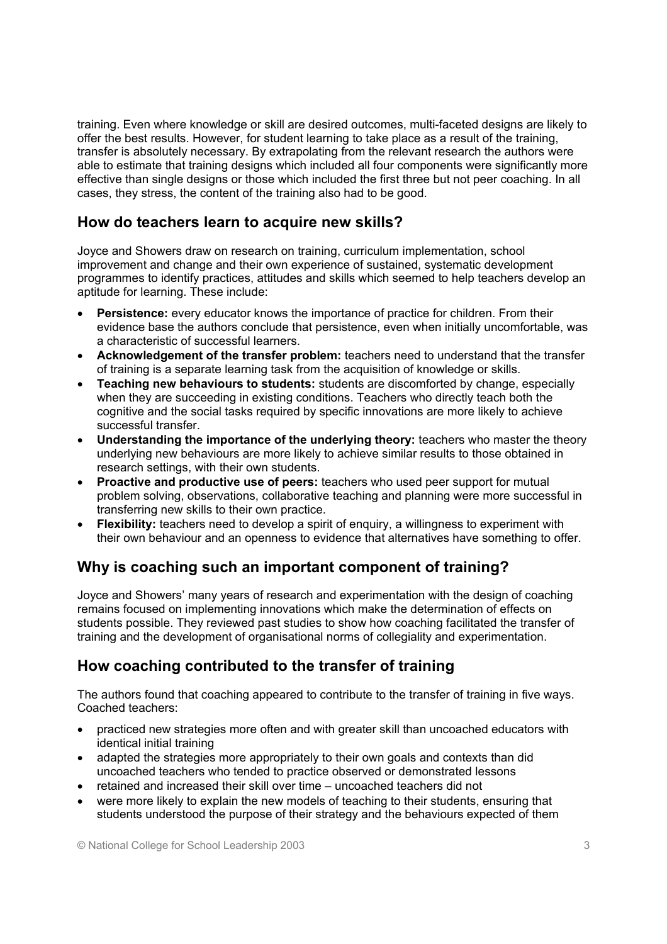training. Even where knowledge or skill are desired outcomes, multi-faceted designs are likely to offer the best results. However, for student learning to take place as a result of the training, transfer is absolutely necessary. By extrapolating from the relevant research the authors were able to estimate that training designs which included all four components were significantly more effective than single designs or those which included the first three but not peer coaching. In all cases, they stress, the content of the training also had to be good.

### **How do teachers learn to acquire new skills?**

Joyce and Showers draw on research on training, curriculum implementation, school improvement and change and their own experience of sustained, systematic development programmes to identify practices, attitudes and skills which seemed to help teachers develop an aptitude for learning. These include:

- **Persistence:** every educator knows the importance of practice for children. From their evidence base the authors conclude that persistence, even when initially uncomfortable, was a characteristic of successful learners.
- **Acknowledgement of the transfer problem:** teachers need to understand that the transfer of training is a separate learning task from the acquisition of knowledge or skills.
- **Teaching new behaviours to students:** students are discomforted by change, especially when they are succeeding in existing conditions. Teachers who directly teach both the cognitive and the social tasks required by specific innovations are more likely to achieve successful transfer.
- **Understanding the importance of the underlying theory:** teachers who master the theory underlying new behaviours are more likely to achieve similar results to those obtained in research settings, with their own students.
- **Proactive and productive use of peers:** teachers who used peer support for mutual problem solving, observations, collaborative teaching and planning were more successful in transferring new skills to their own practice.
- **Flexibility:** teachers need to develop a spirit of enquiry, a willingness to experiment with their own behaviour and an openness to evidence that alternatives have something to offer.

### **Why is coaching such an important component of training?**

Joyce and Showers' many years of research and experimentation with the design of coaching remains focused on implementing innovations which make the determination of effects on students possible. They reviewed past studies to show how coaching facilitated the transfer of training and the development of organisational norms of collegiality and experimentation.

#### **How coaching contributed to the transfer of training**

The authors found that coaching appeared to contribute to the transfer of training in five ways. Coached teachers:

- practiced new strategies more often and with greater skill than uncoached educators with identical initial training
- adapted the strategies more appropriately to their own goals and contexts than did uncoached teachers who tended to practice observed or demonstrated lessons
- retained and increased their skill over time uncoached teachers did not
- were more likely to explain the new models of teaching to their students, ensuring that students understood the purpose of their strategy and the behaviours expected of them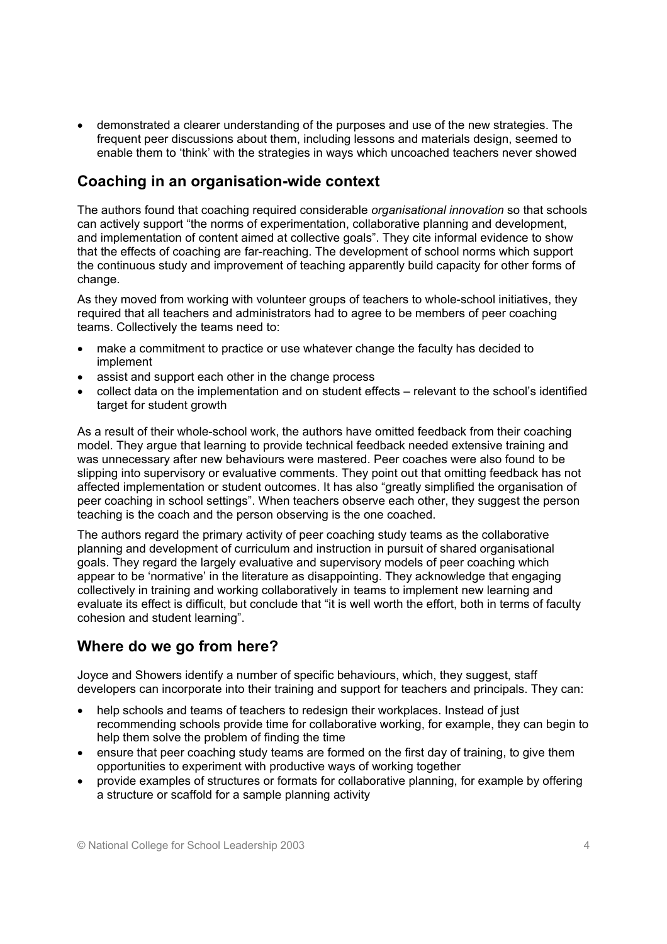• demonstrated a clearer understanding of the purposes and use of the new strategies. The frequent peer discussions about them, including lessons and materials design, seemed to enable them to 'think' with the strategies in ways which uncoached teachers never showed

### **Coaching in an organisation-wide context**

The authors found that coaching required considerable *organisational innovation* so that schools can actively support "the norms of experimentation, collaborative planning and development, and implementation of content aimed at collective goals". They cite informal evidence to show that the effects of coaching are far-reaching. The development of school norms which support the continuous study and improvement of teaching apparently build capacity for other forms of change.

As they moved from working with volunteer groups of teachers to whole-school initiatives, they required that all teachers and administrators had to agree to be members of peer coaching teams. Collectively the teams need to:

- make a commitment to practice or use whatever change the faculty has decided to implement
- assist and support each other in the change process
- collect data on the implementation and on student effects relevant to the school's identified target for student growth

As a result of their whole-school work, the authors have omitted feedback from their coaching model. They argue that learning to provide technical feedback needed extensive training and was unnecessary after new behaviours were mastered. Peer coaches were also found to be slipping into supervisory or evaluative comments. They point out that omitting feedback has not affected implementation or student outcomes. It has also "greatly simplified the organisation of peer coaching in school settings". When teachers observe each other, they suggest the person teaching is the coach and the person observing is the one coached.

The authors regard the primary activity of peer coaching study teams as the collaborative planning and development of curriculum and instruction in pursuit of shared organisational goals. They regard the largely evaluative and supervisory models of peer coaching which appear to be 'normative' in the literature as disappointing. They acknowledge that engaging collectively in training and working collaboratively in teams to implement new learning and evaluate its effect is difficult, but conclude that "it is well worth the effort, both in terms of faculty cohesion and student learning".

### **Where do we go from here?**

Joyce and Showers identify a number of specific behaviours, which, they suggest, staff developers can incorporate into their training and support for teachers and principals. They can:

- help schools and teams of teachers to redesign their workplaces. Instead of just recommending schools provide time for collaborative working, for example, they can begin to help them solve the problem of finding the time
- ensure that peer coaching study teams are formed on the first day of training, to give them opportunities to experiment with productive ways of working together
- provide examples of structures or formats for collaborative planning, for example by offering a structure or scaffold for a sample planning activity